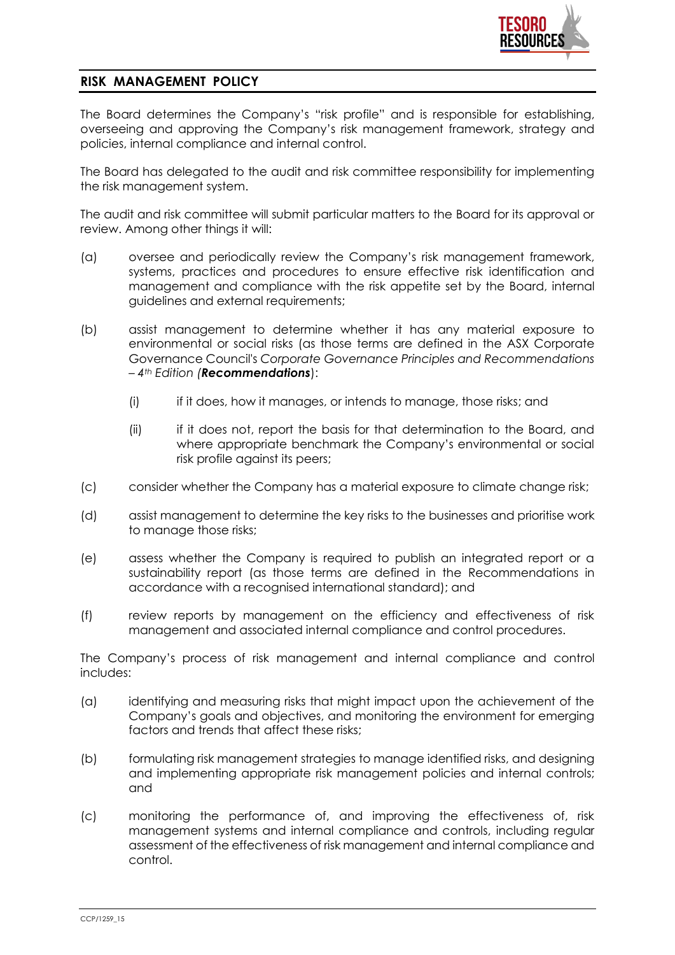

## **RISK MANAGEMENT POLICY**

The Board determines the Company's "risk profile" and is responsible for establishing, overseeing and approving the Company's risk management framework, strategy and policies, internal compliance and internal control.

The Board has delegated to the audit and risk committee responsibility for implementing the risk management system.

The audit and risk committee will submit particular matters to the Board for its approval or review. Among other things it will:

- (a) oversee and periodically review the Company's risk management framework, systems, practices and procedures to ensure effective risk identification and management and compliance with the risk appetite set by the Board, internal guidelines and external requirements;
- (b) assist management to determine whether it has any material exposure to environmental or social risks (as those terms are defined in the ASX Corporate Governance Council's *Corporate Governance Principles and Recommendations – 4th Edition (Recommendations*):
	- (i) if it does, how it manages, or intends to manage, those risks; and
	- (ii) if it does not, report the basis for that determination to the Board, and where appropriate benchmark the Company's environmental or social risk profile against its peers;
- (c) consider whether the Company has a material exposure to climate change risk;
- (d) assist management to determine the key risks to the businesses and prioritise work to manage those risks;
- (e) assess whether the Company is required to publish an integrated report or a sustainability report (as those terms are defined in the Recommendations in accordance with a recognised international standard); and
- (f) review reports by management on the efficiency and effectiveness of risk management and associated internal compliance and control procedures.

The Company's process of risk management and internal compliance and control includes:

- (a) identifying and measuring risks that might impact upon the achievement of the Company's goals and objectives, and monitoring the environment for emerging factors and trends that affect these risks;
- (b) formulating risk management strategies to manage identified risks, and designing and implementing appropriate risk management policies and internal controls; and
- (c) monitoring the performance of, and improving the effectiveness of, risk management systems and internal compliance and controls, including regular assessment of the effectiveness of risk management and internal compliance and control.